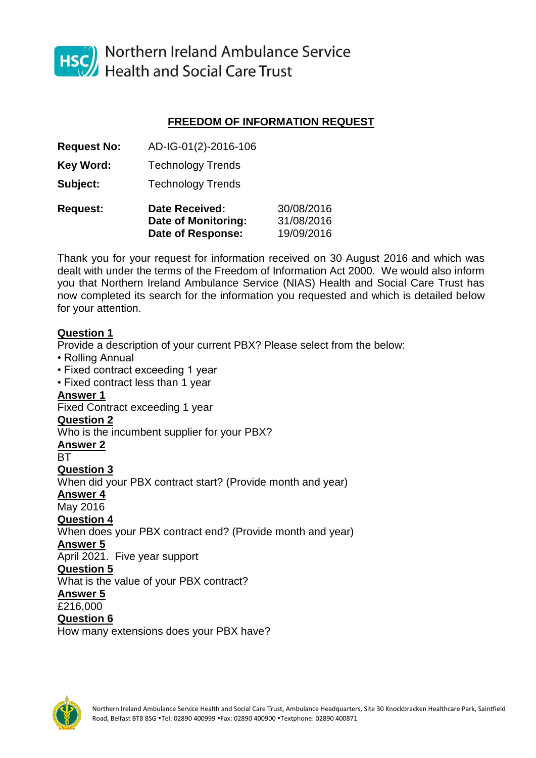

HSC Northern Ireland Ambulance Service<br>Health and Social Care Trust

# **FREEDOM OF INFORMATION REQUEST**

**Request No:** AD-IG-01(2)-2016-106

**Key Word:** Technology Trends

**Subject:** Technology Trends

| <b>Request:</b> | <b>Date Received:</b> | 30/08/2016 |  |  |  |
|-----------------|-----------------------|------------|--|--|--|
|                 | Date of Monitoring:   | 31/08/2016 |  |  |  |
|                 | Date of Response:     | 19/09/2016 |  |  |  |

Thank you for your request for information received on 30 August 2016 and which was dealt with under the terms of the Freedom of Information Act 2000. We would also inform you that Northern Ireland Ambulance Service (NIAS) Health and Social Care Trust has now completed its search for the information you requested and which is detailed below for your attention.

# **Question 1**

Provide a description of your current PBX? Please select from the below:

- Rolling Annual
- Fixed contract exceeding 1 year
- Fixed contract less than 1 year

# **Answer 1**

Fixed Contract exceeding 1 year

# **Question 2**

Who is the incumbent supplier for your PBX?

**Answer 2**

**BT** 

**Question 3** 

When did your PBX contract start? (Provide month and year)

### **Answer 4**

May 2016

# **Question 4**

When does your PBX contract end? (Provide month and year)

# **Answer 5**

April 2021. Five year support

#### **Question 5**

What is the value of your PBX contract?

# **Answer 5**

£216,000

#### **Question 6**

How many extensions does your PBX have?

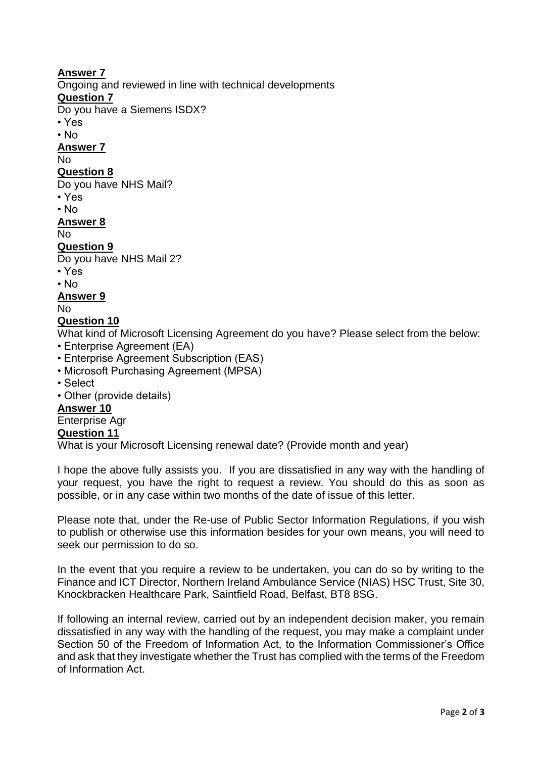# **Answer 7**

Ongoing and reviewed in line with technical developments

### **Question 7**

Do you have a Siemens ISDX?

- Yes
- No

**Answer 7**

No

### **Question 8**

Do you have NHS Mail?

- Yes
- No

**Answer 8**

No

# **Question 9**

Do you have NHS Mail 2?

• Yes

• No

**Answer 9**

No

# **Question 10**

What kind of Microsoft Licensing Agreement do you have? Please select from the below:

- Enterprise Agreement (EA)
- Enterprise Agreement Subscription (EAS)
- Microsoft Purchasing Agreement (MPSA)
- Select
- Other (provide details)

# **Answer 10**

#### Enterprise Agr

#### **Question 11**

What is your Microsoft Licensing renewal date? (Provide month and year)

I hope the above fully assists you. If you are dissatisfied in any way with the handling of your request, you have the right to request a review. You should do this as soon as possible, or in any case within two months of the date of issue of this letter.

Please note that, under the Re-use of Public Sector Information Regulations, if you wish to publish or otherwise use this information besides for your own means, you will need to seek our permission to do so.

In the event that you require a review to be undertaken, you can do so by writing to the Finance and ICT Director, Northern Ireland Ambulance Service (NIAS) HSC Trust, Site 30, Knockbracken Healthcare Park, Saintfield Road, Belfast, BT8 8SG.

If following an internal review, carried out by an independent decision maker, you remain dissatisfied in any way with the handling of the request, you may make a complaint under Section 50 of the Freedom of Information Act, to the Information Commissioner's Office and ask that they investigate whether the Trust has complied with the terms of the Freedom of Information Act.